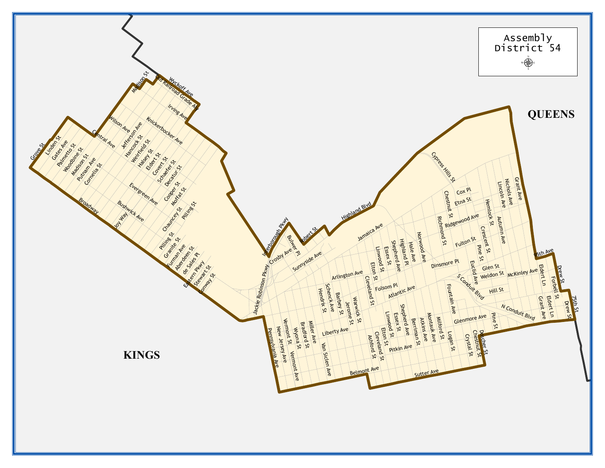